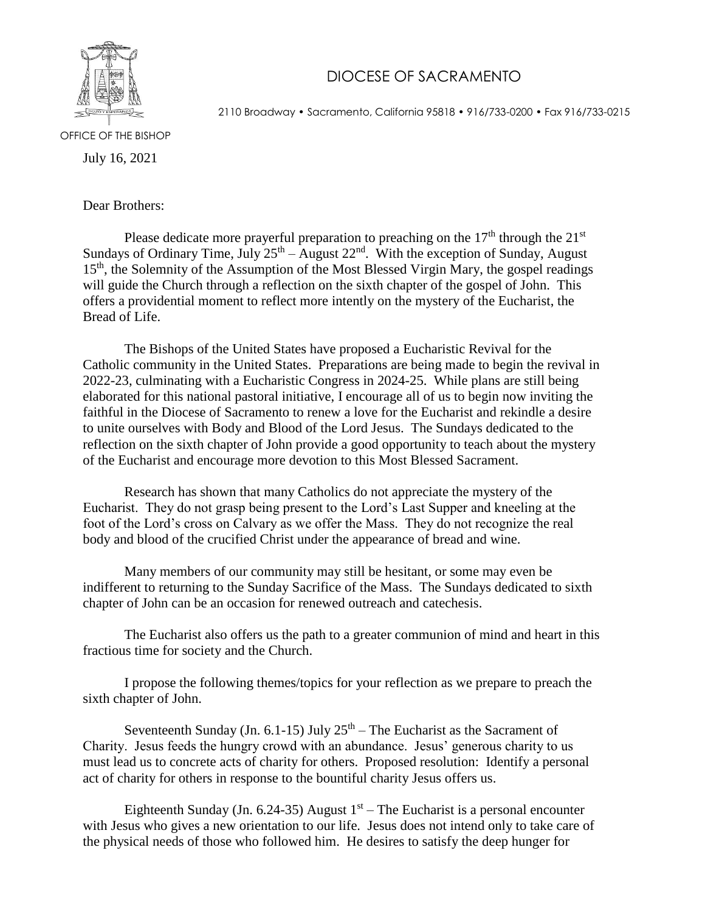

## DIOCESE OF SACRAMENTO

2110 Broadway • Sacramento, California 95818 • 916/733-0200 • Fax 916/733-0215

OFFICE OF THE BISHOP

July 16, 2021

Dear Brothers:

Please dedicate more prayerful preparation to preaching on the  $17<sup>th</sup>$  through the  $21<sup>st</sup>$ Sundays of Ordinary Time, July  $25<sup>th</sup> - August 22<sup>nd</sup>$ . With the exception of Sunday, August 15<sup>th</sup>, the Solemnity of the Assumption of the Most Blessed Virgin Mary, the gospel readings will guide the Church through a reflection on the sixth chapter of the gospel of John. This offers a providential moment to reflect more intently on the mystery of the Eucharist, the Bread of Life.

The Bishops of the United States have proposed a Eucharistic Revival for the Catholic community in the United States. Preparations are being made to begin the revival in 2022-23, culminating with a Eucharistic Congress in 2024-25. While plans are still being elaborated for this national pastoral initiative, I encourage all of us to begin now inviting the faithful in the Diocese of Sacramento to renew a love for the Eucharist and rekindle a desire to unite ourselves with Body and Blood of the Lord Jesus. The Sundays dedicated to the reflection on the sixth chapter of John provide a good opportunity to teach about the mystery of the Eucharist and encourage more devotion to this Most Blessed Sacrament.

Research has shown that many Catholics do not appreciate the mystery of the Eucharist. They do not grasp being present to the Lord's Last Supper and kneeling at the foot of the Lord's cross on Calvary as we offer the Mass. They do not recognize the real body and blood of the crucified Christ under the appearance of bread and wine.

Many members of our community may still be hesitant, or some may even be indifferent to returning to the Sunday Sacrifice of the Mass. The Sundays dedicated to sixth chapter of John can be an occasion for renewed outreach and catechesis.

The Eucharist also offers us the path to a greater communion of mind and heart in this fractious time for society and the Church.

I propose the following themes/topics for your reflection as we prepare to preach the sixth chapter of John.

Seventeenth Sunday (Jn. 6.1-15) July  $25<sup>th</sup>$  – The Eucharist as the Sacrament of Charity. Jesus feeds the hungry crowd with an abundance. Jesus' generous charity to us must lead us to concrete acts of charity for others. Proposed resolution: Identify a personal act of charity for others in response to the bountiful charity Jesus offers us.

Eighteenth Sunday (Jn. 6.24-35) August  $1<sup>st</sup>$  – The Eucharist is a personal encounter with Jesus who gives a new orientation to our life. Jesus does not intend only to take care of the physical needs of those who followed him. He desires to satisfy the deep hunger for